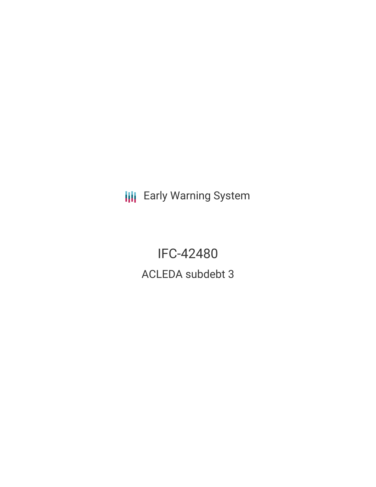**III** Early Warning System

IFC-42480 ACLEDA subdebt 3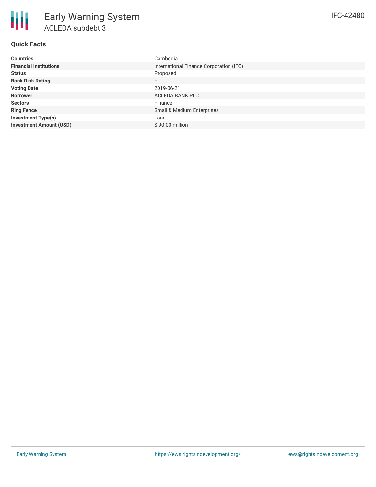# **Quick Facts**

| <b>Countries</b>               | Cambodia                                |
|--------------------------------|-----------------------------------------|
| <b>Financial Institutions</b>  | International Finance Corporation (IFC) |
| <b>Status</b>                  | Proposed                                |
| <b>Bank Risk Rating</b>        | FI                                      |
| <b>Voting Date</b>             | 2019-06-21                              |
| <b>Borrower</b>                | ACLEDA BANK PLC.                        |
| <b>Sectors</b>                 | Finance                                 |
| <b>Ring Fence</b>              | Small & Medium Enterprises              |
| <b>Investment Type(s)</b>      | Loan                                    |
| <b>Investment Amount (USD)</b> | $$90.00$ million                        |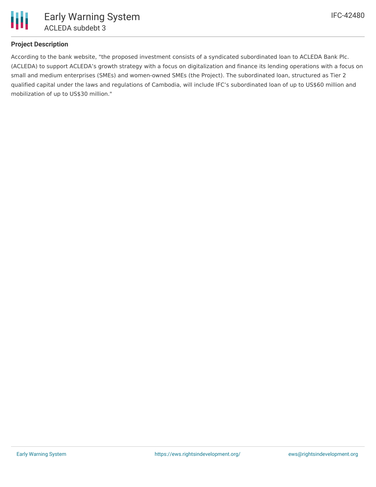

## **Project Description**

According to the bank website, "the proposed investment consists of a syndicated subordinated loan to ACLEDA Bank Plc. (ACLEDA) to support ACLEDA's growth strategy with a focus on digitalization and finance its lending operations with a focus on small and medium enterprises (SMEs) and women-owned SMEs (the Project). The subordinated loan, structured as Tier 2 qualified capital under the laws and regulations of Cambodia, will include IFC's subordinated loan of up to US\$60 million and mobilization of up to US\$30 million."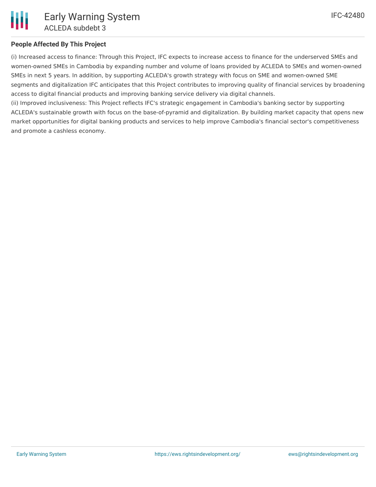

# **People Affected By This Project**

(i) Increased access to finance: Through this Project, IFC expects to increase access to finance for the underserved SMEs and women-owned SMEs in Cambodia by expanding number and volume of loans provided by ACLEDA to SMEs and women-owned SMEs in next 5 years. In addition, by supporting ACLEDA's growth strategy with focus on SME and women-owned SME segments and digitalization IFC anticipates that this Project contributes to improving quality of financial services by broadening access to digital financial products and improving banking service delivery via digital channels.

(ii) Improved inclusiveness: This Project reflects IFC's strategic engagement in Cambodia's banking sector by supporting ACLEDA's sustainable growth with focus on the base-of-pyramid and digitalization. By building market capacity that opens new market opportunities for digital banking products and services to help improve Cambodia's financial sector's competitiveness and promote a cashless economy.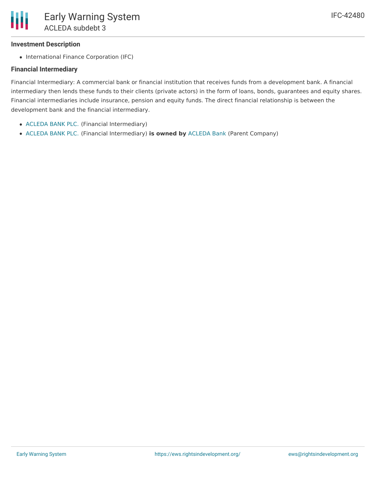# **Investment Description**

• International Finance Corporation (IFC)

# **Financial Intermediary**

Financial Intermediary: A commercial bank or financial institution that receives funds from a development bank. A financial intermediary then lends these funds to their clients (private actors) in the form of loans, bonds, guarantees and equity shares. Financial intermediaries include insurance, pension and equity funds. The direct financial relationship is between the development bank and the financial intermediary.

- [ACLEDA](file:///actor/859/) BANK PLC. (Financial Intermediary)
- [ACLEDA](file:///actor/859/) BANK PLC. (Financial Intermediary) **is owned by** [ACLEDA](file:///actor/3582/) Bank (Parent Company)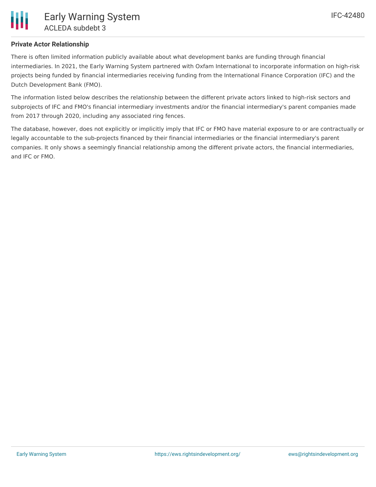## **Private Actor Relationship**

There is often limited information publicly available about what development banks are funding through financial intermediaries. In 2021, the Early Warning System partnered with Oxfam International to incorporate information on high-risk projects being funded by financial intermediaries receiving funding from the International Finance Corporation (IFC) and the Dutch Development Bank (FMO).

The information listed below describes the relationship between the different private actors linked to high-risk sectors and subprojects of IFC and FMO's financial intermediary investments and/or the financial intermediary's parent companies made from 2017 through 2020, including any associated ring fences.

The database, however, does not explicitly or implicitly imply that IFC or FMO have material exposure to or are contractually or legally accountable to the sub-projects financed by their financial intermediaries or the financial intermediary's parent companies. It only shows a seemingly financial relationship among the different private actors, the financial intermediaries, and IFC or FMO.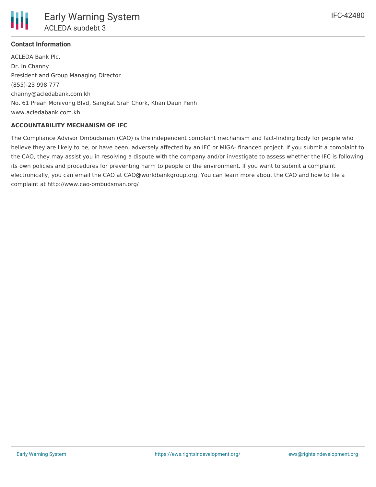

## **Contact Information**

ACLEDA Bank Plc. Dr. In Channy President and Group Managing Director (855)-23 998 777 channy@acledabank.com.kh No. 61 Preah Monivong Blvd, Sangkat Srah Chork, Khan Daun Penh www.acledabank.com.kh

#### **ACCOUNTABILITY MECHANISM OF IFC**

The Compliance Advisor Ombudsman (CAO) is the independent complaint mechanism and fact-finding body for people who believe they are likely to be, or have been, adversely affected by an IFC or MIGA- financed project. If you submit a complaint to the CAO, they may assist you in resolving a dispute with the company and/or investigate to assess whether the IFC is following its own policies and procedures for preventing harm to people or the environment. If you want to submit a complaint electronically, you can email the CAO at CAO@worldbankgroup.org. You can learn more about the CAO and how to file a complaint at http://www.cao-ombudsman.org/